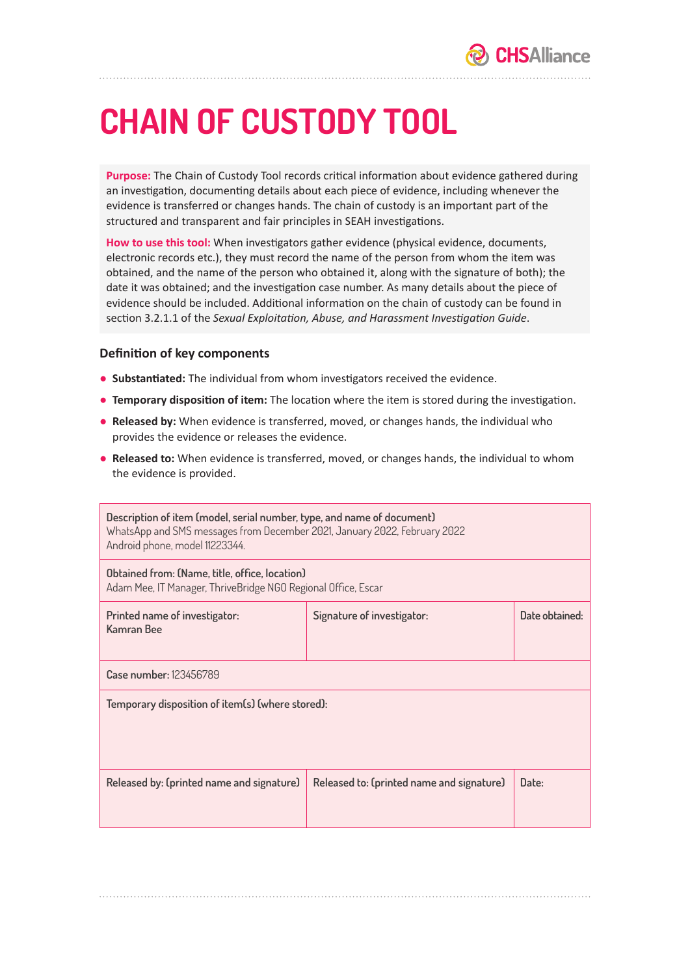## **CHAIN OF CUSTODY TOOL**

**Purpose:** The Chain of Custody Tool records critical information about evidence gathered during an investigation, documenting details about each piece of evidence, including whenever the evidence is transferred or changes hands. The chain of custody is an important part of the structured and transparent and fair principles in SEAH investigations.

**How to use this tool:** When investigators gather evidence (physical evidence, documents, electronic records etc.), they must record the name of the person from whom the item was obtained, and the name of the person who obtained it, along with the signature of both); the date it was obtained; and the investigation case number. As many details about the piece of evidence should be included. Additional information on the chain of custody can be found in section 3.2.1.1 of the *Sexual Exploitation, Abuse, and Harassment Investigation Guide*.

## **Definition of key components**

- **Substantiated:** The individual from whom investigators received the evidence.
- **Temporary disposition of item:** The location where the item is stored during the investigation.
- **Released by:** When evidence is transferred, moved, or changes hands, the individual who provides the evidence or releases the evidence.
- **Released to:** When evidence is transferred, moved, or changes hands, the individual to whom the evidence is provided.

| Description of item (model, serial number, type, and name of document)<br>WhatsApp and SMS messages from December 2021, January 2022, February 2022<br>Android phone, model 11223344. |                                           |                |  |
|---------------------------------------------------------------------------------------------------------------------------------------------------------------------------------------|-------------------------------------------|----------------|--|
| Obtained from: (Name, title, office, location)<br>Adam Mee, IT Manager, ThriveBridge NGO Regional Office, Escar                                                                       |                                           |                |  |
| Printed name of investigator:<br>Kamran Bee                                                                                                                                           | Signature of investigator:                | Date obtained: |  |
| Case number: 123456789                                                                                                                                                                |                                           |                |  |
| Temporary disposition of item(s) (where stored):                                                                                                                                      |                                           |                |  |
| Released by: (printed name and signature)                                                                                                                                             | Released to: (printed name and signature) | Date:          |  |